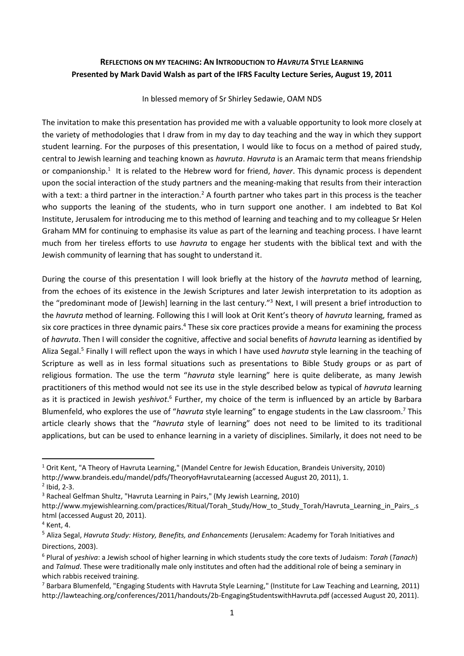# **REFLECTIONS ON MY TEACHING: AN INTRODUCTION TO** *HAVRUTA* **STYLE LEARNING Presented by Mark David Walsh as part of the IFRS Faculty Lecture Series, August 19, 2011**

### In blessed memory of Sr Shirley Sedawie, OAM NDS

The invitation to make this presentation has provided me with a valuable opportunity to look more closely at the variety of methodologies that I draw from in my day to day teaching and the way in which they support student learning. For the purposes of this presentation, I would like to focus on a method of paired study, central to Jewish learning and teaching known as *havruta*. *Havruta* is an Aramaic term that means friendship or companionship.<sup>1</sup> It is related to the Hebrew word for friend, *haver*. This dynamic process is dependent upon the social interaction of the study partners and the meaning-making that results from their interaction with a text: a third partner in the interaction.<sup>2</sup> A fourth partner who takes part in this process is the teacher who supports the leaning of the students, who in turn support one another. I am indebted to Bat Kol Institute, Jerusalem for introducing me to this method of learning and teaching and to my colleague Sr Helen Graham MM for continuing to emphasise its value as part of the learning and teaching process. I have learnt much from her tireless efforts to use *havruta* to engage her students with the biblical text and with the Jewish community of learning that has sought to understand it.

During the course of this presentation I will look briefly at the history of the *havruta* method of learning, from the echoes of its existence in the Jewish Scriptures and later Jewish interpretation to its adoption as the "predominant mode of [Jewish] learning in the last century."<sup>3</sup> Next, I will present a brief introduction to the *havruta* method of learning. Following this I will look at Orit Kent's theory of *havruta* learning, framed as six core practices in three dynamic pairs.<sup>4</sup> These six core practices provide a means for examining the process of *havruta*. Then I will consider the cognitive, affective and social benefits of *havruta* learning as identified by Aliza Segal.<sup>5</sup> Finally I will reflect upon the ways in which I have used *havruta* style learning in the teaching of Scripture as well as in less formal situations such as presentations to Bible Study groups or as part of religious formation. The use the term "*havruta* style learning" here is quite deliberate, as many Jewish practitioners of this method would not see its use in the style described below as typical of *havruta* learning as it is practiced in Jewish yeshivot.<sup>6</sup> Further, my choice of the term is influenced by an article by Barbara Blumenfeld, who explores the use of "*havruta* style learning" to engage students in the Law classroom.<sup>7</sup> This article clearly shows that the "*havruta* style of learning" does not need to be limited to its traditional applications, but can be used to enhance learning in a variety of disciplines. Similarly, it does not need to be

http://www.brandeis.edu/mandel/pdfs/TheoryofHavrutaLearning (accessed August 20, 2011), 1.

<sup>1</sup> Orit Kent, "A Theory of Havruta Learning," (Mandel Centre for Jewish Education, Brandeis University, 2010)

 $2$  Ibid, 2-3.

<sup>3</sup> Racheal Gelfman Shultz, "Havruta Learning in Pairs," (My Jewish Learning, 2010)

http://www.myjewishlearning.com/practices/Ritual/Torah\_Study/How\_to\_Study\_Torah/Havruta\_Learning\_in\_Pairs\_.s html (accessed August 20, 2011).

<sup>4</sup> Kent, 4.

<sup>5</sup> Aliza Segal, *Havruta Study: History, Benefits, and Enhancements* (Jerusalem: Academy for Torah Initiatives and Directions, 2003).

<sup>6</sup> Plural of *yeshiva*: a Jewish school of higher learning in which students study the core texts of Judaism: *Torah* (*Tanach*) and *Talmud*. These were traditionally male only institutes and often had the additional role of being a seminary in which rabbis received training.

 $^7$  Barbara Blumenfeld, "Engaging Students with Havruta Style Learning," (Institute for Law Teaching and Learning, 2011) http://lawteaching.org/conferences/2011/handouts/2b-EngagingStudentswithHavruta.pdf (accessed August 20, 2011).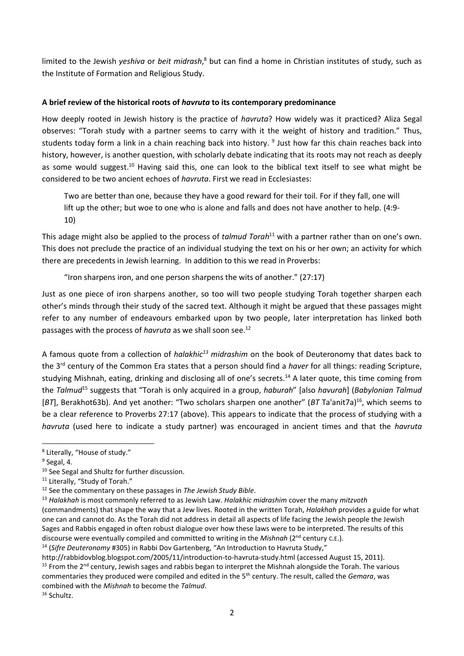limited to the Jewish *yeshiva* or *beit midrash*, <sup>8</sup> but can find a home in Christian institutes of study, such as the Institute of Formation and Religious Study.

## **A brief review of the historical roots of** *havruta* **to its contemporary predominance**

How deeply rooted in Jewish history is the practice of *havruta*? How widely was it practiced? Aliza Segal observes: "Torah study with a partner seems to carry with it the weight of history and tradition." Thus, students today form a link in a chain reaching back into history. <sup>9</sup> Just how far this chain reaches back into history, however, is another question, with scholarly debate indicating that its roots may not reach as deeply as some would suggest.<sup>10</sup> Having said this, one can look to the biblical text itself to see what might be considered to be two ancient echoes of *havruta*. First we read in Ecclesiastes:

Two are better than one, because they have a good reward for their toil. For if they fall, one will lift up the other; but woe to one who is alone and falls and does not have another to help. (4:9- 10)

This adage might also be applied to the process of *talmud Torah*<sup>11</sup> with a partner rather than on one's own. This does not preclude the practice of an individual studying the text on his or her own; an activity for which there are precedents in Jewish learning. In addition to this we read in Proverbs:

"Iron sharpens iron, and one person sharpens the wits of another." (27:17)

Just as one piece of iron sharpens another, so too will two people studying Torah together sharpen each other's minds through their study of the sacred text. Although it might be argued that these passages might refer to any number of endeavours embarked upon by two people, later interpretation has linked both passages with the process of *havruta* as we shall soon see.<sup>12</sup>

A famous quote from a collection of *halakhic<sup>13</sup> midrashim* on the book of Deuteronomy that dates back to the 3rd century of the Common Era states that a person should find a *haver* for all things: reading Scripture, studying Mishnah, eating, drinking and disclosing all of one's secrets.<sup>14</sup> A later quote, this time coming from the *Talmud*<sup>15</sup> suggests that "Torah is only acquired in a group, *haburah*" [also *havurah*] (*Babylonian Talmud* [BT], Berakhot63b). And yet another: "Two scholars sharpen one another" (BT Ta'anit7a)<sup>16</sup>, which seems to be a clear reference to Proverbs 27:17 (above). This appears to indicate that the process of studying with a *havruta* (used here to indicate a study partner) was encouraged in ancient times and that the *havruta*

http://rabbidovblog.blogspot.com/2005/11/introduction-to-havruta-study.html (accessed August 15, 2011). <sup>15</sup> From the  $2^{nd}$  century, Jewish sages and rabbis began to interpret the Mishnah alongside the Torah. The various commentaries they produced were compiled and edited in the 5th century. The result, called the *Gemara*, was combined with the *Mishnah* to become the *Talmud*.

<sup>&</sup>lt;sup>8</sup> Literally, "House of study."

<sup>&</sup>lt;sup>9</sup> Segal, 4.

<sup>&</sup>lt;sup>10</sup> See Segal and Shultz for further discussion.

<sup>&</sup>lt;sup>11</sup> Literally, "Study of Torah."

<sup>12</sup> See the commentary on these passages in *The Jewish Study Bible*.

<sup>13</sup> *Halakhah* is most commonly referred to as Jewish Law. *Halakhic midrashim* cover the many *mitzvoth*

<sup>(</sup>commandments) that shape the way that a Jew lives. Rooted in the written Torah, *Halakhah* provides a guide for what one can and cannot do. As the Torah did not address in detail all aspects of life facing the Jewish people the Jewish Sages and Rabbis engaged in often robust dialogue over how these laws were to be interpreted. The results of this discourse were eventually compiled and committed to writing in the *Mishnah* (2<sup>nd</sup> century c.E.).

<sup>14</sup> (*Sifre Deuteronomy* #305) in Rabbi Dov Gartenberg, "An Introduction to Havruta Study,"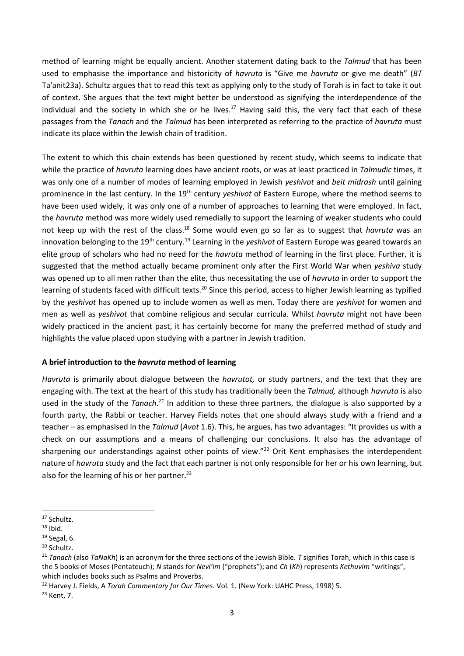method of learning might be equally ancient. Another statement dating back to the *Talmud* that has been used to emphasise the importance and historicity of *havruta* is "Give me *havruta* or give me death" (*BT* Ta'anit23a). Schultz argues that to read this text as applying only to the study of Torah is in fact to take it out of context. She argues that the text might better be understood as signifying the interdependence of the individual and the society in which she or he lives.<sup>17</sup> Having said this, the very fact that each of these passages from the *Tanach* and the *Talmud* has been interpreted as referring to the practice of *havruta* must indicate its place within the Jewish chain of tradition.

The extent to which this chain extends has been questioned by recent study, which seems to indicate that while the practice of *havruta* learning does have ancient roots, or was at least practiced in *Talmudic* times, it was only one of a number of modes of learning employed in Jewish *yeshivot* and *beit midrash* until gaining prominence in the last century. In the 19<sup>th</sup> century *yeshivot* of Eastern Europe, where the method seems to have been used widely, it was only one of a number of approaches to learning that were employed. In fact, the *havruta* method was more widely used remedially to support the learning of weaker students who could not keep up with the rest of the class.<sup>18</sup> Some would even go so far as to suggest that *havruta* was an innovation belonging to the 19<sup>th</sup> century.<sup>19</sup> Learning in the *yeshivot* of Eastern Europe was geared towards an elite group of scholars who had no need for the *havruta* method of learning in the first place. Further, it is suggested that the method actually became prominent only after the First World War when *yeshiva* study was opened up to all men rather than the elite, thus necessitating the use of *havruta* in order to support the learning of students faced with difficult texts.<sup>20</sup> Since this period, access to higher Jewish learning as typified by the *yeshivot* has opened up to include women as well as men. Today there are *yeshivot* for women and men as well as *yeshivot* that combine religious and secular curricula. Whilst *havruta* might not have been widely practiced in the ancient past, it has certainly become for many the preferred method of study and highlights the value placed upon studying with a partner in Jewish tradition.

### **A brief introduction to the** *havruta* **method of learning**

*Havruta* is primarily about dialogue between the *havrutot,* or study partners, and the text that they are engaging with. The text at the heart of this study has traditionally been the *Talmud,* although *havruta* is also used in the study of the *Tanach*.<sup>21</sup> In addition to these three partners, the dialogue is also supported by a fourth party, the Rabbi or teacher. Harvey Fields notes that one should always study with a friend and a teacher – as emphasised in the *Talmud* (*Avot* 1.6). This, he argues, has two advantages: "It provides us with a check on our assumptions and a means of challenging our conclusions. It also has the advantage of sharpening our understandings against other points of view."<sup>22</sup> Orit Kent emphasises the interdependent nature of *havruta* study and the fact that each partner is not only responsible for her or his own learning, but also for the learning of his or her partner. 23

<sup>22</sup> Harvey J. Fields, A *Torah Commentary for Our Times*. Vol. 1. (New York: UAHC Press, 1998) 5.

<sup>23</sup> Kent, 7.

<sup>17</sup> Schultz.

 $18$  Ibid.

 $19$  Segal, 6.

<sup>&</sup>lt;sup>20</sup> Schultz.

<sup>21</sup> *Tanach* (also *TaNaKh*) is an acronym for the three sections of the Jewish Bible. *T* signifies Torah, which in this case is the 5 books of Moses (Pentateuch); *N* stands for *Nevi'im* ("prophets"); and *Ch* (*Kh*) represents *Kethuvim* "writings", which includes books such as Psalms and Proverbs.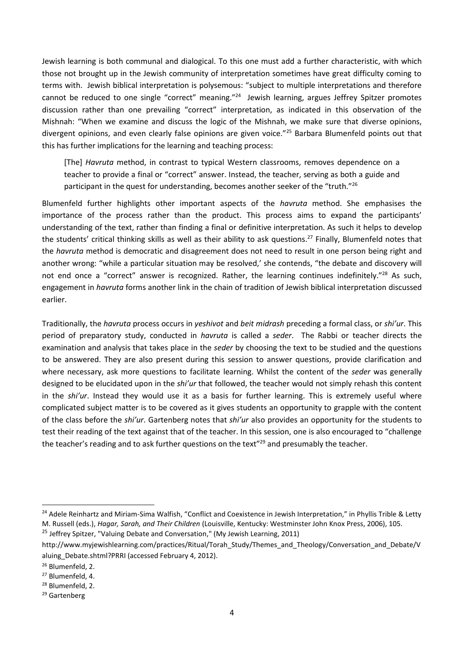Jewish learning is both communal and dialogical. To this one must add a further characteristic, with which those not brought up in the Jewish community of interpretation sometimes have great difficulty coming to terms with. Jewish biblical interpretation is polysemous: "subject to multiple interpretations and therefore cannot be reduced to one single "correct" meaning."<sup>24</sup> Jewish learning, argues Jeffrey Spitzer promotes discussion rather than one prevailing "correct" interpretation, as indicated in this observation of the Mishnah: "When we examine and discuss the logic of the Mishnah, we make sure that diverse opinions, divergent opinions, and even clearly false opinions are given voice."<sup>25</sup> Barbara Blumenfeld points out that this has further implications for the learning and teaching process:

[The] *Havruta* method, in contrast to typical Western classrooms, removes dependence on a teacher to provide a final or "correct" answer. Instead, the teacher, serving as both a guide and participant in the quest for understanding, becomes another seeker of the "truth."<sup>26</sup>

Blumenfeld further highlights other important aspects of the *havruta* method. She emphasises the importance of the process rather than the product. This process aims to expand the participants' understanding of the text, rather than finding a final or definitive interpretation. As such it helps to develop the students' critical thinking skills as well as their ability to ask questions. <sup>27</sup> Finally, Blumenfeld notes that the *havruta* method is democratic and disagreement does not need to result in one person being right and another wrong: "while a particular situation may be resolved,' she contends, "the debate and discovery will not end once a "correct" answer is recognized. Rather, the learning continues indefinitely."<sup>28</sup> As such, engagement in *havruta* forms another link in the chain of tradition of Jewish biblical interpretation discussed earlier.

Traditionally, the *havruta* process occurs in *yeshivot* and *beit midrash* preceding a formal class, or *shi'ur*. This period of preparatory study, conducted in *havruta* is called a *seder*. The Rabbi or teacher directs the examination and analysis that takes place in the *seder* by choosing the text to be studied and the questions to be answered. They are also present during this session to answer questions, provide clarification and where necessary, ask more questions to facilitate learning. Whilst the content of the *seder* was generally designed to be elucidated upon in the *shi'ur* that followed, the teacher would not simply rehash this content in the *shi'ur*. Instead they would use it as a basis for further learning. This is extremely useful where complicated subject matter is to be covered as it gives students an opportunity to grapple with the content of the class before the *shi'ur*. Gartenberg notes that *shi'ur* also provides an opportunity for the students to test their reading of the text against that of the teacher. In this session, one is also encouraged to "challenge the teacher's reading and to ask further questions on the text"<sup>29</sup> and presumably the teacher.

<sup>25</sup> Jeffrey Spitzer, "Valuing Debate and Conversation," (My Jewish Learning, 2011) http://www.myjewishlearning.com/practices/Ritual/Torah\_Study/Themes\_and\_Theology/Conversation\_and\_Debate/V

<sup>&</sup>lt;sup>24</sup> Adele Reinhartz and Miriam-Sima Walfish, "Conflict and Coexistence in Jewish Interpretation," in Phyllis Trible & Letty M. Russell (eds.), *Hagar, Sarah, and Their Children* (Louisville, Kentucky: Westminster John Knox Press, 2006), 105.

aluing Debate.shtml?PRRI (accessed February 4, 2012). <sup>26</sup> Blumenfeld, 2.

<sup>27</sup> Blumenfeld, 4.

<sup>&</sup>lt;sup>28</sup> Blumenfeld, 2.

<sup>&</sup>lt;sup>29</sup> Gartenberg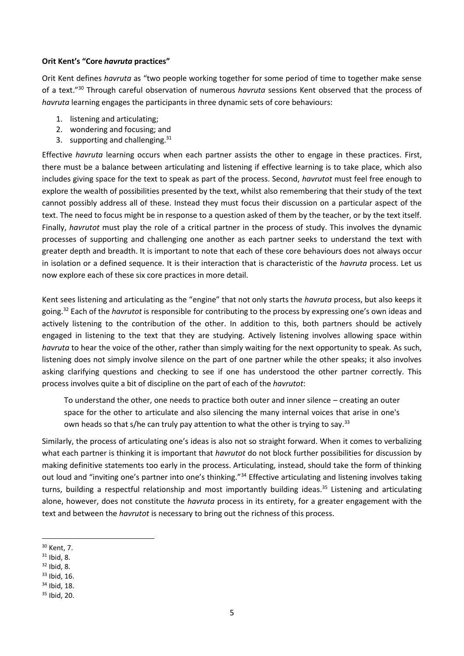### **Orit Kent's "Core** *havruta* **practices"**

Orit Kent defines *havruta* as "two people working together for some period of time to together make sense of a text."<sup>30</sup> Through careful observation of numerous *havruta* sessions Kent observed that the process of *havruta* learning engages the participants in three dynamic sets of core behaviours:

- 1. listening and articulating;
- 2. wondering and focusing; and
- 3. supporting and challenging. $31$

Effective *havruta* learning occurs when each partner assists the other to engage in these practices. First, there must be a balance between articulating and listening if effective learning is to take place, which also includes giving space for the text to speak as part of the process. Second, *havrutot* must feel free enough to explore the wealth of possibilities presented by the text, whilst also remembering that their study of the text cannot possibly address all of these. Instead they must focus their discussion on a particular aspect of the text. The need to focus might be in response to a question asked of them by the teacher, or by the text itself. Finally, *havrutot* must play the role of a critical partner in the process of study. This involves the dynamic processes of supporting and challenging one another as each partner seeks to understand the text with greater depth and breadth. It is important to note that each of these core behaviours does not always occur in isolation or a defined sequence. It is their interaction that is characteristic of the *havruta* process. Let us now explore each of these six core practices in more detail.

Kent sees listening and articulating as the "engine" that not only starts the *havruta* process, but also keeps it going.<sup>32</sup> Each of the *havrutot* is responsible for contributing to the process by expressing one's own ideas and actively listening to the contribution of the other. In addition to this, both partners should be actively engaged in listening to the text that they are studying. Actively listening involves allowing space within *havruta* to hear the voice of the other, rather than simply waiting for the next opportunity to speak. As such, listening does not simply involve silence on the part of one partner while the other speaks; it also involves asking clarifying questions and checking to see if one has understood the other partner correctly. This process involves quite a bit of discipline on the part of each of the *havrutot*:

To understand the other, one needs to practice both outer and inner silence – creating an outer space for the other to articulate and also silencing the many internal voices that arise in one's own heads so that s/he can truly pay attention to what the other is trying to say.<sup>33</sup>

Similarly, the process of articulating one's ideas is also not so straight forward. When it comes to verbalizing what each partner is thinking it is important that *havrutot* do not block further possibilities for discussion by making definitive statements too early in the process. Articulating, instead, should take the form of thinking out loud and "inviting one's partner into one's thinking."<sup>34</sup> Effective articulating and listening involves taking turns, building a respectful relationship and most importantly building ideas.<sup>35</sup> Listening and articulating alone, however, does not constitute the *havruta* process in its entirety, for a greater engagement with the text and between the *havrutot* is necessary to bring out the richness of this process.

<sup>30</sup> Kent, 7.

 $31$  Ibid, 8.

 $32$  Ibid, 8.

<sup>33</sup> Ibid, 16.

<sup>34</sup> Ibid, 18.

<sup>35</sup> Ibid, 20.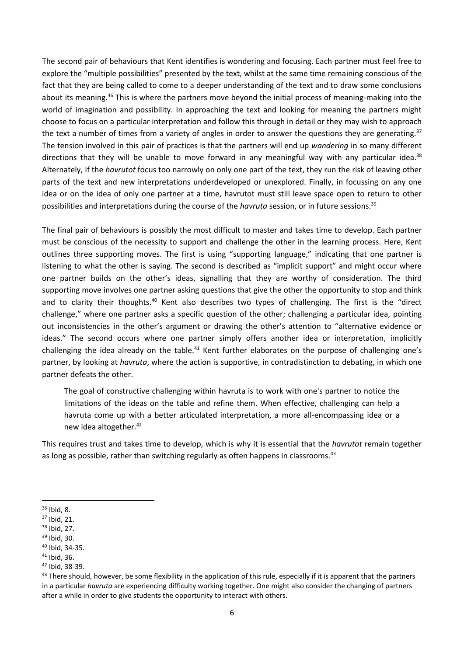The second pair of behaviours that Kent identifies is wondering and focusing. Each partner must feel free to explore the "multiple possibilities" presented by the text, whilst at the same time remaining conscious of the fact that they are being called to come to a deeper understanding of the text and to draw some conclusions about its meaning.<sup>36</sup> This is where the partners move beyond the initial process of meaning-making into the world of imagination and possibility. In approaching the text and looking for meaning the partners might choose to focus on a particular interpretation and follow this through in detail or they may wish to approach the text a number of times from a variety of angles in order to answer the questions they are generating.<sup>37</sup> The tension involved in this pair of practices is that the partners will end up *wandering* in so many different directions that they will be unable to move forward in any meaningful way with any particular idea.<sup>38</sup> Alternately, if the *havrutot* focus too narrowly on only one part of the text, they run the risk of leaving other parts of the text and new interpretations underdeveloped or unexplored. Finally, in focussing on any one idea or on the idea of only one partner at a time, havrutot must still leave space open to return to other possibilities and interpretations during the course of the *havruta* session, or in future sessions.<sup>39</sup>

The final pair of behaviours is possibly the most difficult to master and takes time to develop. Each partner must be conscious of the necessity to support and challenge the other in the learning process. Here, Kent outlines three supporting moves. The first is using "supporting language," indicating that one partner is listening to what the other is saying. The second is described as "implicit support" and might occur where one partner builds on the other's ideas, signalling that they are worthy of consideration. The third supporting move involves one partner asking questions that give the other the opportunity to stop and think and to clarity their thoughts.<sup>40</sup> Kent also describes two types of challenging. The first is the "direct challenge," where one partner asks a specific question of the other; challenging a particular idea, pointing out inconsistencies in the other's argument or drawing the other's attention to "alternative evidence or ideas." The second occurs where one partner simply offers another idea or interpretation, implicitly challenging the idea already on the table.<sup>41</sup> Kent further elaborates on the purpose of challenging one's partner, by looking at *havruta*, where the action is supportive, in contradistinction to debating, in which one partner defeats the other.

The goal of constructive challenging within havruta is to work with one's partner to notice the limitations of the ideas on the table and refine them. When effective, challenging can help a havruta come up with a better articulated interpretation, a more all-encompassing idea or a new idea altogether.<sup>42</sup>

This requires trust and takes time to develop, which is why it is essential that the *havrutot* remain together as long as possible, rather than switching regularly as often happens in classrooms.<sup>43</sup>

- <sup>39</sup> Ibid, 30.
- <sup>40</sup> Ibid, 34-35.
- <sup>41</sup> Ibid, 36.
- <sup>42</sup> Ibid, 38-39.

<sup>36</sup> Ibid, 8.

<sup>37</sup> Ibid, 21.

<sup>38</sup> Ibid, 27.

<sup>43</sup> There should, however, be some flexibility in the application of this rule, especially if it is apparent that the partners in a particular *havruta* are experiencing difficulty working together. One might also consider the changing of partners after a while in order to give students the opportunity to interact with others.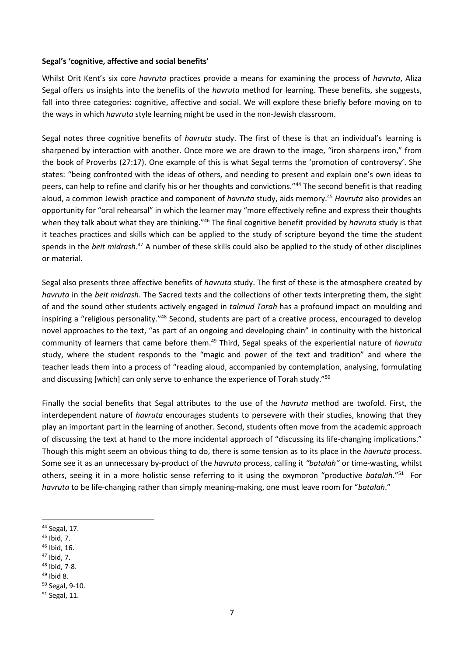#### **Segal's 'cognitive, affective and social benefits'**

Whilst Orit Kent's six core *havruta* practices provide a means for examining the process of *havruta*, Aliza Segal offers us insights into the benefits of the *havruta* method for learning. These benefits, she suggests, fall into three categories: cognitive, affective and social. We will explore these briefly before moving on to the ways in which *havruta* style learning might be used in the non-Jewish classroom.

Segal notes three cognitive benefits of *havruta* study. The first of these is that an individual's learning is sharpened by interaction with another. Once more we are drawn to the image, "iron sharpens iron," from the book of Proverbs (27:17). One example of this is what Segal terms the 'promotion of controversy'. She states: "being confronted with the ideas of others, and needing to present and explain one's own ideas to peers, can help to refine and clarify his or her thoughts and convictions."<sup>44</sup> The second benefit is that reading aloud, a common Jewish practice and component of *havruta* study, aids memory.<sup>45</sup> *Havruta* also provides an opportunity for "oral rehearsal" in which the learner may "more effectively refine and express their thoughts when they talk about what they are thinking."<sup>46</sup> The final cognitive benefit provided by *havruta* study is that it teaches practices and skills which can be applied to the study of scripture beyond the time the student spends in the *beit midrash*. <sup>47</sup> A number of these skills could also be applied to the study of other disciplines or material.

Segal also presents three affective benefits of *havruta* study. The first of these is the atmosphere created by *havruta* in the *beit midrash*. The Sacred texts and the collections of other texts interpreting them, the sight of and the sound other students actively engaged in *talmud Torah* has a profound impact on moulding and inspiring a "religious personality."<sup>48</sup> Second, students are part of a creative process, encouraged to develop novel approaches to the text, "as part of an ongoing and developing chain" in continuity with the historical community of learners that came before them.<sup>49</sup> Third, Segal speaks of the experiential nature of *havruta* study, where the student responds to the "magic and power of the text and tradition" and where the teacher leads them into a process of "reading aloud, accompanied by contemplation, analysing, formulating and discussing [which] can only serve to enhance the experience of Torah study."<sup>50</sup>

Finally the social benefits that Segal attributes to the use of the *havruta* method are twofold. First, the interdependent nature of *havruta* encourages students to persevere with their studies, knowing that they play an important part in the learning of another. Second, students often move from the academic approach of discussing the text at hand to the more incidental approach of "discussing its life-changing implications." Though this might seem an obvious thing to do, there is some tension as to its place in the *havruta* process. Some see it as an unnecessary by-product of the *havruta* process, calling it *"batalah"* or time-wasting, whilst others, seeing it in a more holistic sense referring to it using the oxymoron "productive *batalah*."<sup>51</sup> For *havruta* to be life-changing rather than simply meaning-making, one must leave room for "*batalah*."

<sup>46</sup> Ibid, 16.

<sup>44</sup> Segal, 17.

 $45$  Ibid, 7.

<sup>47</sup> Ibid, 7.

<sup>48</sup> Ibid, 7-8.

<sup>49</sup> Ibid 8.

<sup>50</sup> Segal, 9-10.

<sup>51</sup> Segal, 11.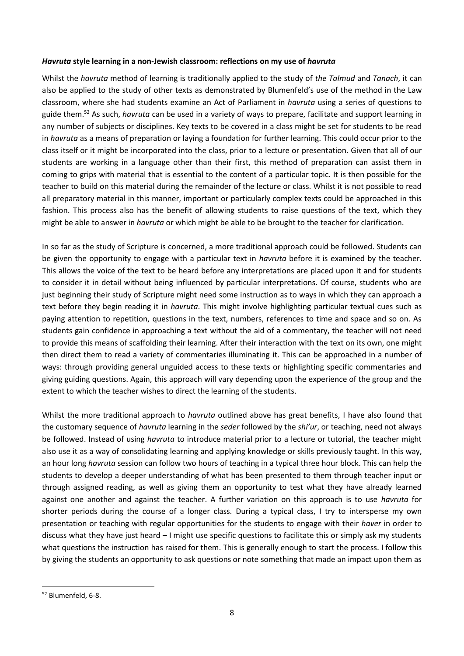### *Havruta* **style learning in a non-Jewish classroom: reflections on my use of** *havruta*

Whilst the *havruta* method of learning is traditionally applied to the study of *the Talmud* and *Tanach*, it can also be applied to the study of other texts as demonstrated by Blumenfeld's use of the method in the Law classroom, where she had students examine an Act of Parliament in *havruta* using a series of questions to guide them.<sup>52</sup> As such, *havruta* can be used in a variety of ways to prepare, facilitate and support learning in any number of subjects or disciplines. Key texts to be covered in a class might be set for students to be read in *havruta* as a means of preparation or laying a foundation for further learning. This could occur prior to the class itself or it might be incorporated into the class, prior to a lecture or presentation. Given that all of our students are working in a language other than their first, this method of preparation can assist them in coming to grips with material that is essential to the content of a particular topic. It is then possible for the teacher to build on this material during the remainder of the lecture or class. Whilst it is not possible to read all preparatory material in this manner, important or particularly complex texts could be approached in this fashion. This process also has the benefit of allowing students to raise questions of the text, which they might be able to answer in *havruta* or which might be able to be brought to the teacher for clarification.

In so far as the study of Scripture is concerned, a more traditional approach could be followed. Students can be given the opportunity to engage with a particular text in *havruta* before it is examined by the teacher. This allows the voice of the text to be heard before any interpretations are placed upon it and for students to consider it in detail without being influenced by particular interpretations. Of course, students who are just beginning their study of Scripture might need some instruction as to ways in which they can approach a text before they begin reading it in *havruta*. This might involve highlighting particular textual cues such as paying attention to repetition, questions in the text, numbers, references to time and space and so on. As students gain confidence in approaching a text without the aid of a commentary, the teacher will not need to provide this means of scaffolding their learning. After their interaction with the text on its own, one might then direct them to read a variety of commentaries illuminating it. This can be approached in a number of ways: through providing general unguided access to these texts or highlighting specific commentaries and giving guiding questions. Again, this approach will vary depending upon the experience of the group and the extent to which the teacher wishes to direct the learning of the students.

Whilst the more traditional approach to *havruta* outlined above has great benefits, I have also found that the customary sequence of *havruta* learning in the *seder* followed by the *shi'ur*, or teaching, need not always be followed. Instead of using *havruta* to introduce material prior to a lecture or tutorial, the teacher might also use it as a way of consolidating learning and applying knowledge or skills previously taught. In this way, an hour long *havruta* session can follow two hours of teaching in a typical three hour block. This can help the students to develop a deeper understanding of what has been presented to them through teacher input or through assigned reading, as well as giving them an opportunity to test what they have already learned against one another and against the teacher. A further variation on this approach is to use *havruta* for shorter periods during the course of a longer class. During a typical class, I try to intersperse my own presentation or teaching with regular opportunities for the students to engage with their *haver* in order to discuss what they have just heard – I might use specific questions to facilitate this or simply ask my students what questions the instruction has raised for them. This is generally enough to start the process. I follow this by giving the students an opportunity to ask questions or note something that made an impact upon them as

<sup>52</sup> Blumenfeld, 6-8.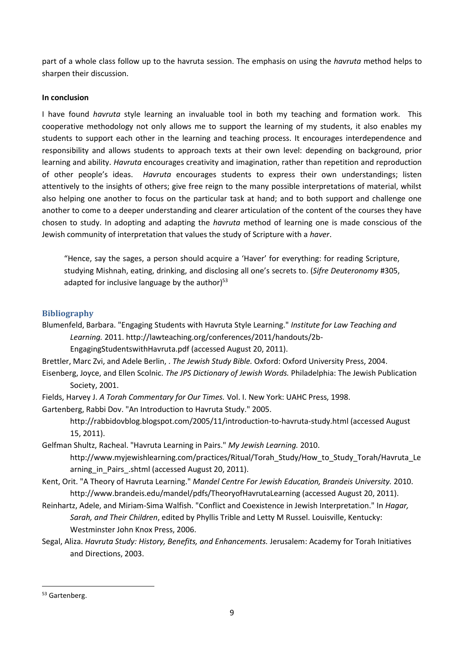part of a whole class follow up to the havruta session. The emphasis on using the *havruta* method helps to sharpen their discussion.

## **In conclusion**

I have found *havruta* style learning an invaluable tool in both my teaching and formation work. This cooperative methodology not only allows me to support the learning of my students, it also enables my students to support each other in the learning and teaching process. It encourages interdependence and responsibility and allows students to approach texts at their own level: depending on background, prior learning and ability. *Havruta* encourages creativity and imagination, rather than repetition and reproduction of other people's ideas. *Havruta* encourages students to express their own understandings; listen attentively to the insights of others; give free reign to the many possible interpretations of material, whilst also helping one another to focus on the particular task at hand; and to both support and challenge one another to come to a deeper understanding and clearer articulation of the content of the courses they have chosen to study. In adopting and adapting the *havruta* method of learning one is made conscious of the Jewish community of interpretation that values the study of Scripture with a *haver*.

"Hence, say the sages, a person should acquire a 'Haver' for everything: for reading Scripture, studying Mishnah, eating, drinking, and disclosing all one's secrets to. (*Sifre Deuteronomy* #305, adapted for inclusive language by the author)<sup>53</sup>

## **Bibliography**

Blumenfeld, Barbara. "Engaging Students with Havruta Style Learning." *Institute for Law Teaching and Learning.* 2011. http://lawteaching.org/conferences/2011/handouts/2b-

EngagingStudentswithHavruta.pdf (accessed August 20, 2011).

Brettler, Marc Zvi, and Adele Berlin, . *The Jewish Study Bible.* Oxford: Oxford University Press, 2004.

Eisenberg, Joyce, and Ellen Scolnic. *The JPS Dictionary of Jewish Words.* Philadelphia: The Jewish Publication Society, 2001.

Fields, Harvey J. *A Torah Commentary for Our Times.* Vol. I. New York: UAHC Press, 1998.

Gartenberg, Rabbi Dov. "An Introduction to Havruta Study." 2005.

http://rabbidovblog.blogspot.com/2005/11/introduction-to-havruta-study.html (accessed August 15, 2011).

Gelfman Shultz, Racheal. "Havruta Learning in Pairs." *My Jewish Learning.* 2010. http://www.myjewishlearning.com/practices/Ritual/Torah\_Study/How\_to\_Study\_Torah/Havruta\_Le arning in Pairs .shtml (accessed August 20, 2011).

Kent, Orit. "A Theory of Havruta Learning." *Mandel Centre For Jewish Education, Brandeis University.* 2010. http://www.brandeis.edu/mandel/pdfs/TheoryofHavrutaLearning (accessed August 20, 2011).

Reinhartz, Adele, and Miriam-Sima Walfish. "Conflict and Coexistence in Jewish Interpretation." In *Hagar, Sarah, and Their Children*, edited by Phyllis Trible and Letty M Russel. Louisville, Kentucky: Westminster John Knox Press, 2006.

Segal, Aliza. *Havruta Study: History, Benefits, and Enhancements.* Jerusalem: Academy for Torah Initiatives and Directions, 2003.

<sup>53</sup> Gartenberg.